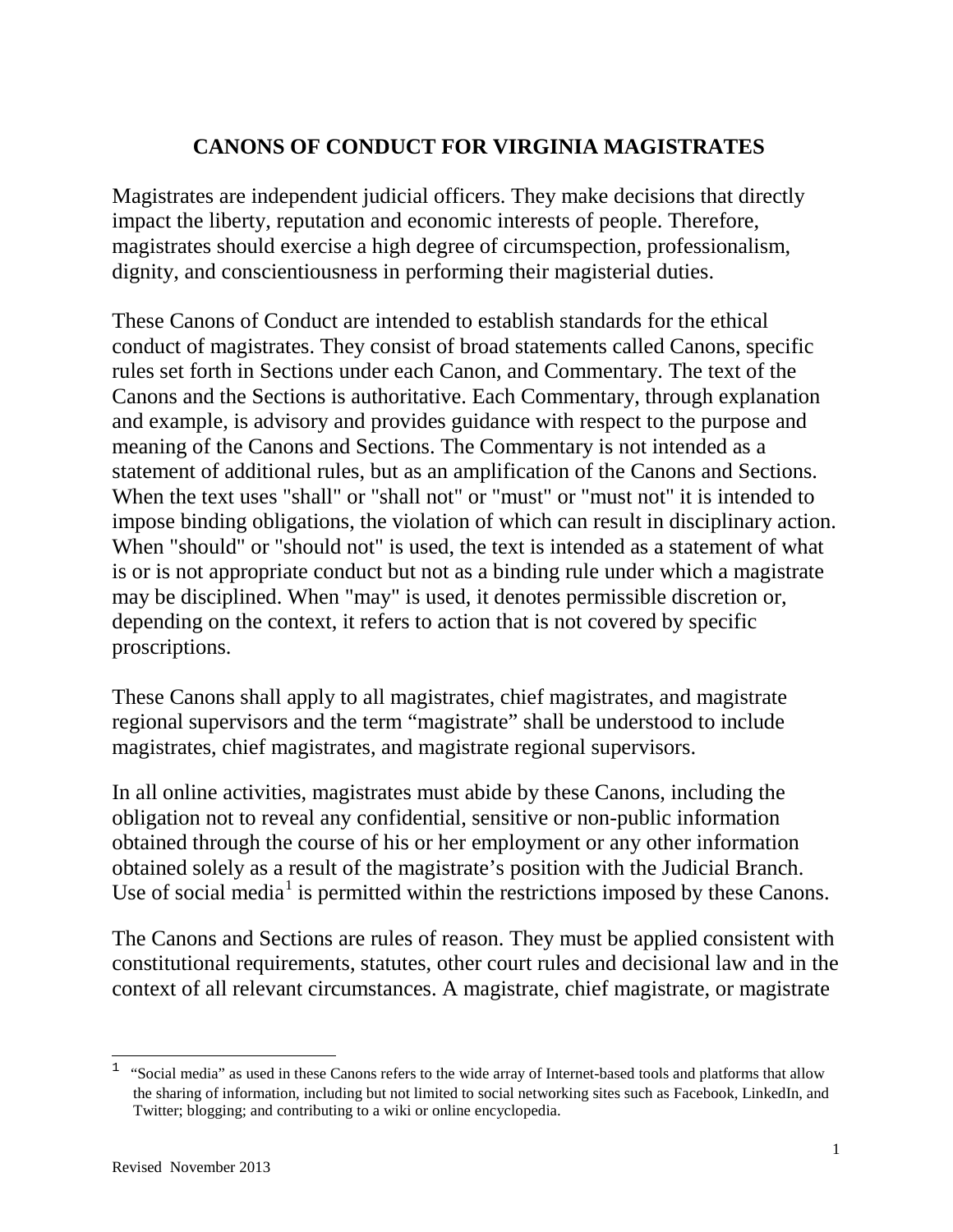# **CANONS OF CONDUCT FOR VIRGINIA MAGISTRATES**

Magistrates are independent judicial officers. They make decisions that directly impact the liberty, reputation and economic interests of people. Therefore, magistrates should exercise a high degree of circumspection, professionalism, dignity, and conscientiousness in performing their magisterial duties.

These Canons of Conduct are intended to establish standards for the ethical conduct of magistrates. They consist of broad statements called Canons, specific rules set forth in Sections under each Canon, and Commentary. The text of the Canons and the Sections is authoritative. Each Commentary, through explanation and example, is advisory and provides guidance with respect to the purpose and meaning of the Canons and Sections. The Commentary is not intended as a statement of additional rules, but as an amplification of the Canons and Sections. When the text uses "shall" or "shall not" or "must" or "must not" it is intended to impose binding obligations, the violation of which can result in disciplinary action. When "should" or "should not" is used, the text is intended as a statement of what is or is not appropriate conduct but not as a binding rule under which a magistrate may be disciplined. When "may" is used, it denotes permissible discretion or, depending on the context, it refers to action that is not covered by specific proscriptions.

These Canons shall apply to all magistrates, chief magistrates, and magistrate regional supervisors and the term "magistrate" shall be understood to include magistrates, chief magistrates, and magistrate regional supervisors.

In all online activities, magistrates must abide by these Canons, including the obligation not to reveal any confidential, sensitive or non-public information obtained through the course of his or her employment or any other information obtained solely as a result of the magistrate's position with the Judicial Branch. Use of social media<sup>[1](#page-0-0)</sup> is permitted within the restrictions imposed by these Canons.

The Canons and Sections are rules of reason. They must be applied consistent with constitutional requirements, statutes, other court rules and decisional law and in the context of all relevant circumstances. A magistrate, chief magistrate, or magistrate

 $\overline{a}$ 

<span id="page-0-0"></span><sup>1</sup> "Social media" as used in these Canons refers to the wide array of Internet-based tools and platforms that allow the sharing of information, including but not limited to social networking sites such as Facebook, LinkedIn, and Twitter; blogging; and contributing to a wiki or online encyclopedia.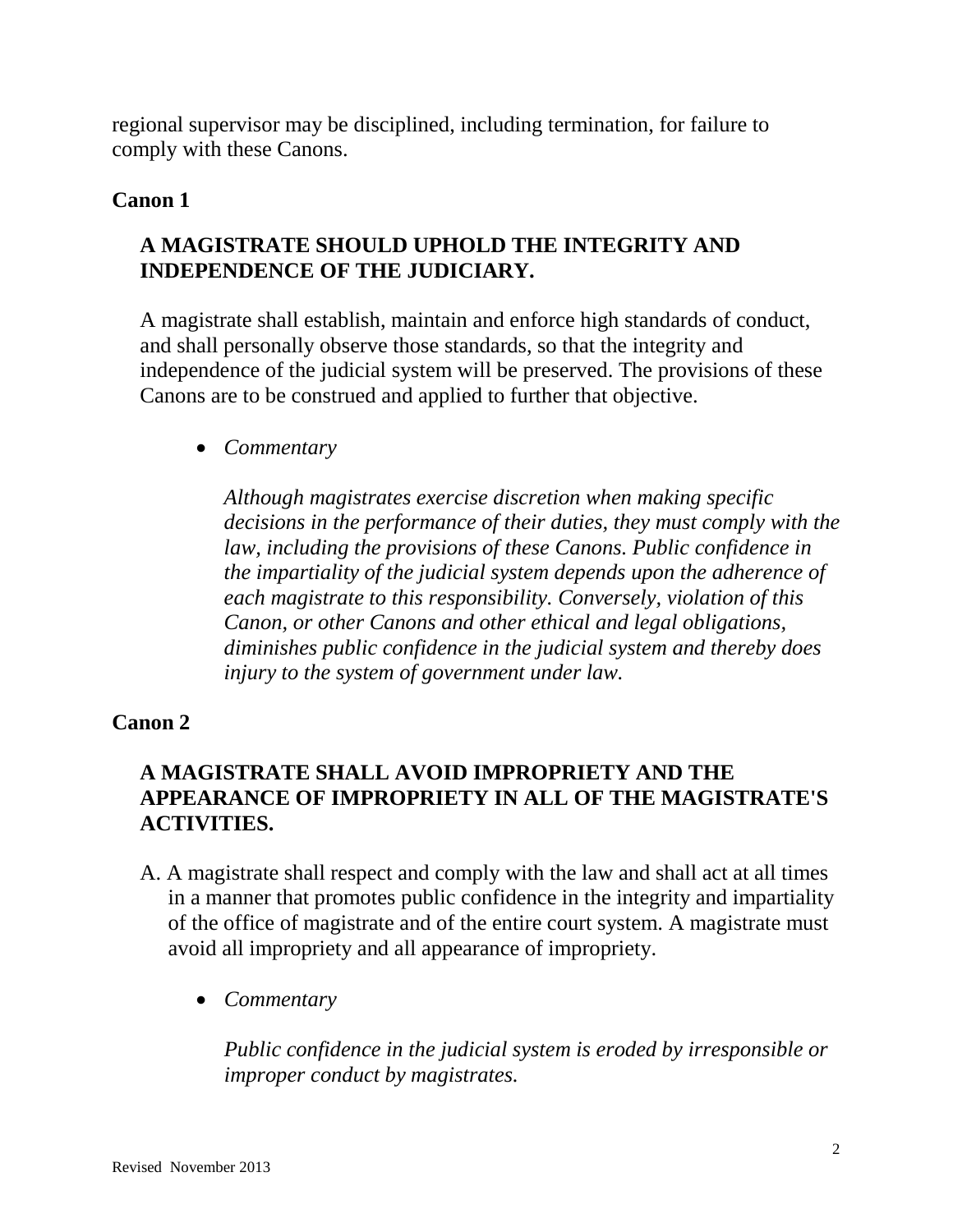regional supervisor may be disciplined, including termination, for failure to comply with these Canons.

## **Canon 1**

# **A MAGISTRATE SHOULD UPHOLD THE INTEGRITY AND INDEPENDENCE OF THE JUDICIARY.**

A magistrate shall establish, maintain and enforce high standards of conduct, and shall personally observe those standards, so that the integrity and independence of the judicial system will be preserved. The provisions of these Canons are to be construed and applied to further that objective.

• *Commentary* 

*Although magistrates exercise discretion when making specific decisions in the performance of their duties, they must comply with the law, including the provisions of these Canons. Public confidence in the impartiality of the judicial system depends upon the adherence of each magistrate to this responsibility. Conversely, violation of this Canon, or other Canons and other ethical and legal obligations, diminishes public confidence in the judicial system and thereby does injury to the system of government under law.* 

## **Canon 2**

# **A MAGISTRATE SHALL AVOID IMPROPRIETY AND THE APPEARANCE OF IMPROPRIETY IN ALL OF THE MAGISTRATE'S ACTIVITIES.**

- A. A magistrate shall respect and comply with the law and shall act at all times in a manner that promotes public confidence in the integrity and impartiality of the office of magistrate and of the entire court system. A magistrate must avoid all impropriety and all appearance of impropriety.
	- *Commentary*

*Public confidence in the judicial system is eroded by irresponsible or improper conduct by magistrates.*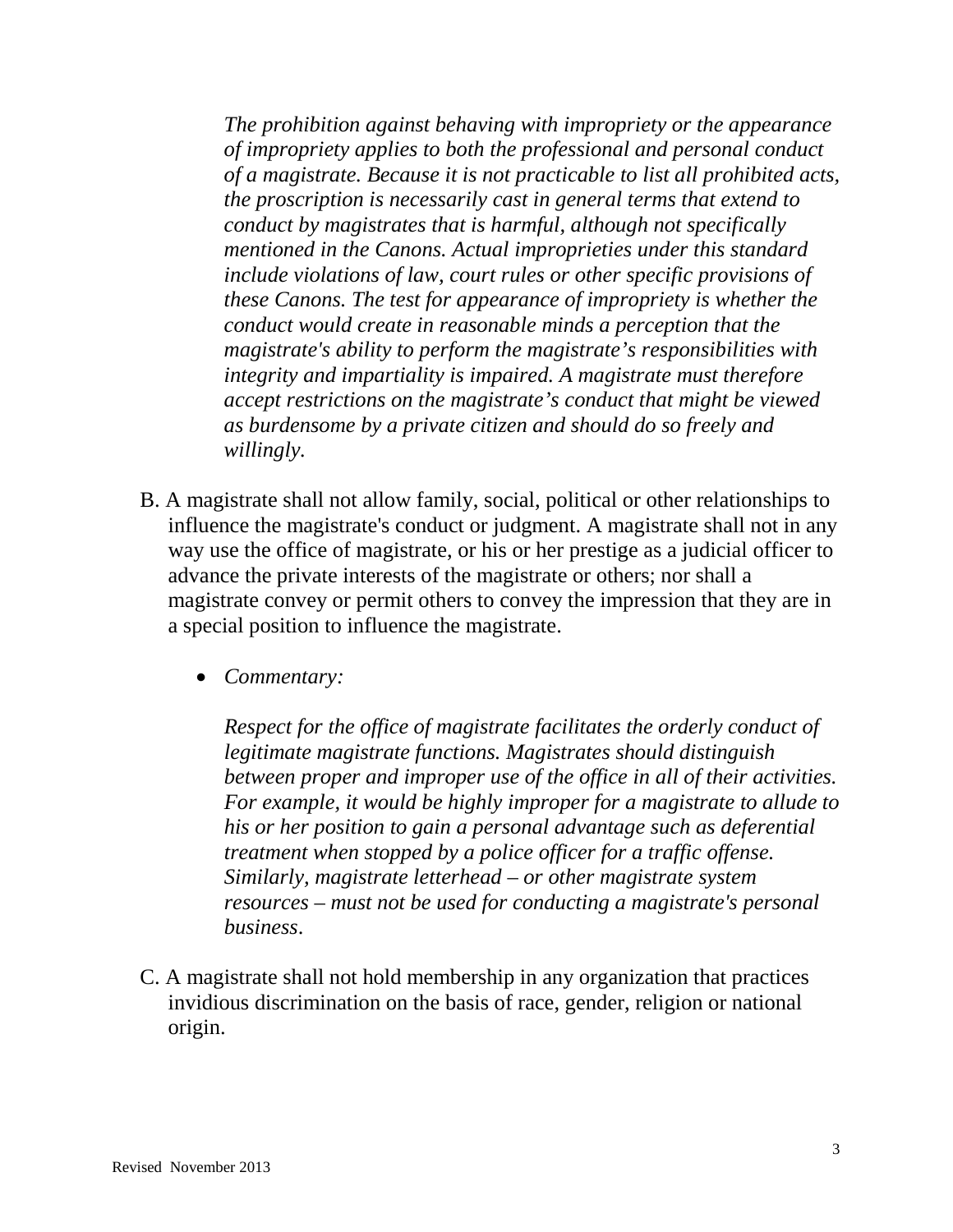*The prohibition against behaving with impropriety or the appearance of impropriety applies to both the professional and personal conduct of a magistrate. Because it is not practicable to list all prohibited acts, the proscription is necessarily cast in general terms that extend to conduct by magistrates that is harmful, although not specifically mentioned in the Canons. Actual improprieties under this standard include violations of law, court rules or other specific provisions of these Canons. The test for appearance of impropriety is whether the conduct would create in reasonable minds a perception that the magistrate's ability to perform the magistrate's responsibilities with integrity and impartiality is impaired. A magistrate must therefore accept restrictions on the magistrate's conduct that might be viewed as burdensome by a private citizen and should do so freely and willingly.* 

- B. A magistrate shall not allow family, social, political or other relationships to influence the magistrate's conduct or judgment. A magistrate shall not in any way use the office of magistrate, or his or her prestige as a judicial officer to advance the private interests of the magistrate or others; nor shall a magistrate convey or permit others to convey the impression that they are in a special position to influence the magistrate.
	- *Commentary:*

*Respect for the office of magistrate facilitates the orderly conduct of legitimate magistrate functions. Magistrates should distinguish between proper and improper use of the office in all of their activities. For example, it would be highly improper for a magistrate to allude to his or her position to gain a personal advantage such as deferential treatment when stopped by a police officer for a traffic offense. Similarly, magistrate letterhead – or other magistrate system resources – must not be used for conducting a magistrate's personal business*.

C. A magistrate shall not hold membership in any organization that practices invidious discrimination on the basis of race, gender, religion or national origin.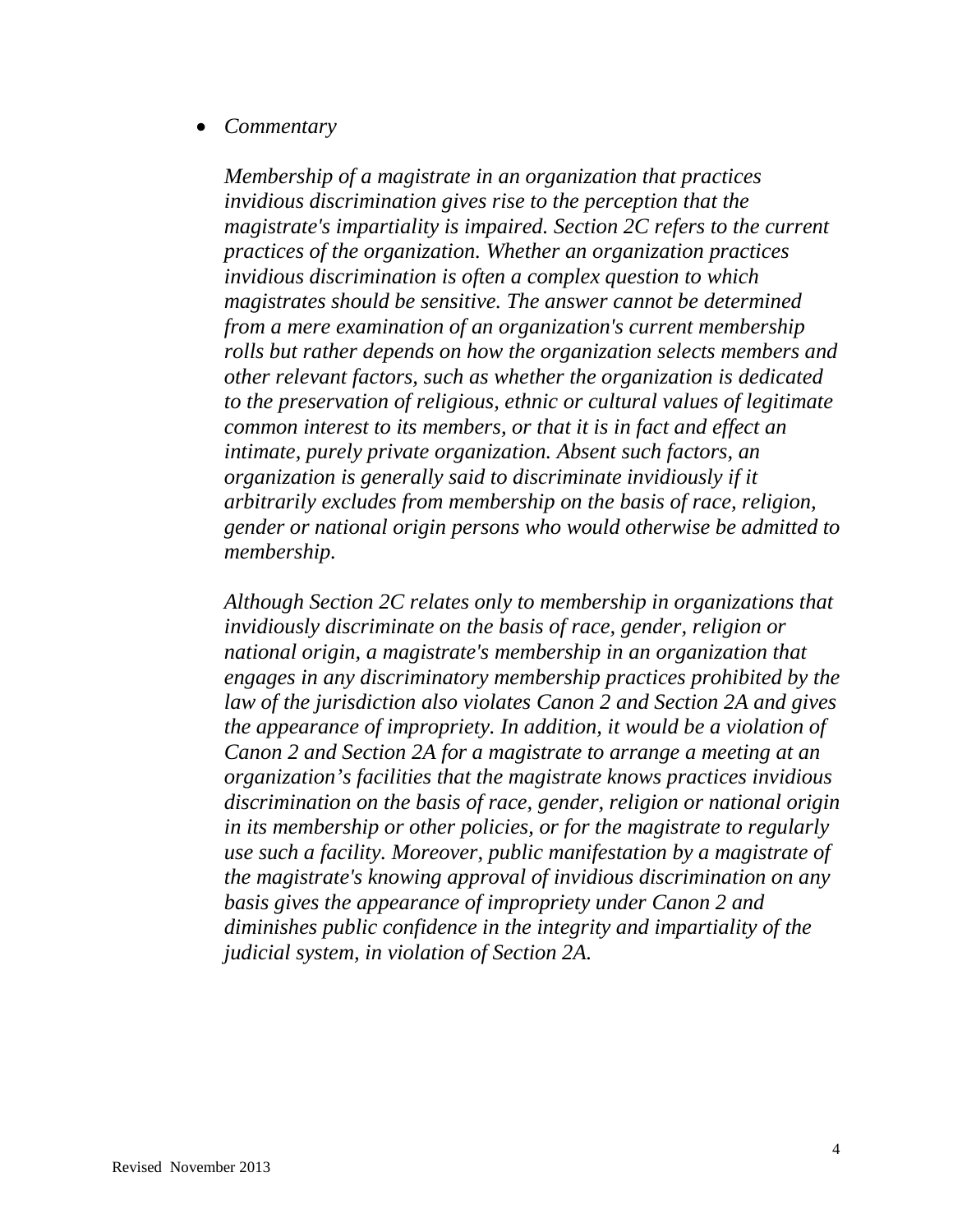### • *Commentary*

*Membership of a magistrate in an organization that practices invidious discrimination gives rise to the perception that the magistrate's impartiality is impaired. Section 2C refers to the current practices of the organization. Whether an organization practices invidious discrimination is often a complex question to which magistrates should be sensitive. The answer cannot be determined from a mere examination of an organization's current membership rolls but rather depends on how the organization selects members and other relevant factors, such as whether the organization is dedicated to the preservation of religious, ethnic or cultural values of legitimate common interest to its members, or that it is in fact and effect an intimate, purely private organization. Absent such factors, an organization is generally said to discriminate invidiously if it arbitrarily excludes from membership on the basis of race, religion, gender or national origin persons who would otherwise be admitted to membership.* 

*Although Section 2C relates only to membership in organizations that invidiously discriminate on the basis of race, gender, religion or national origin, a magistrate's membership in an organization that engages in any discriminatory membership practices prohibited by the law of the jurisdiction also violates Canon 2 and Section 2A and gives the appearance of impropriety. In addition, it would be a violation of Canon 2 and Section 2A for a magistrate to arrange a meeting at an organization's facilities that the magistrate knows practices invidious discrimination on the basis of race, gender, religion or national origin in its membership or other policies, or for the magistrate to regularly use such a facility. Moreover, public manifestation by a magistrate of the magistrate's knowing approval of invidious discrimination on any basis gives the appearance of impropriety under Canon 2 and diminishes public confidence in the integrity and impartiality of the judicial system, in violation of Section 2A.*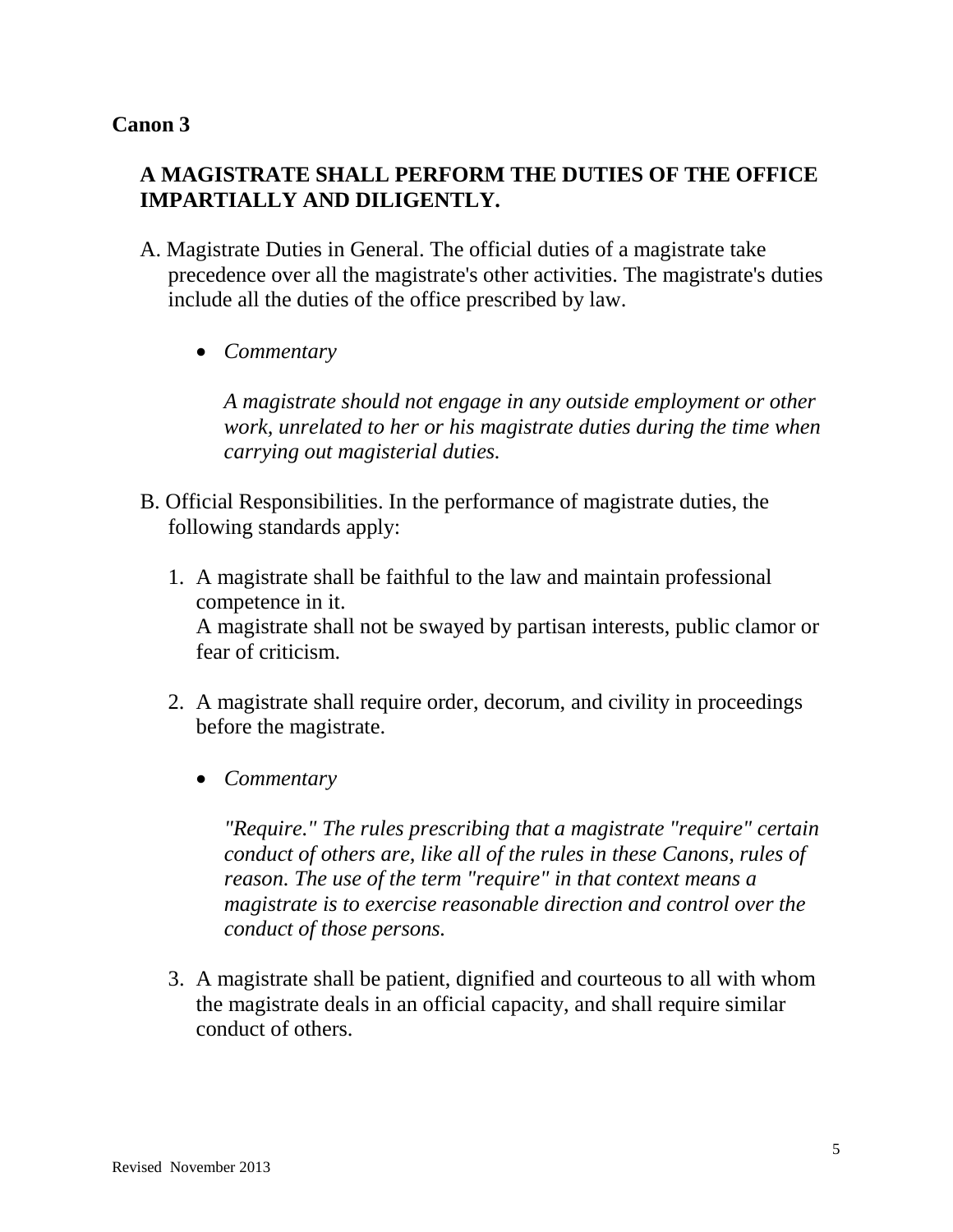# **A MAGISTRATE SHALL PERFORM THE DUTIES OF THE OFFICE IMPARTIALLY AND DILIGENTLY.**

- A. Magistrate Duties in General. The official duties of a magistrate take precedence over all the magistrate's other activities. The magistrate's duties include all the duties of the office prescribed by law.
	- *Commentary*

*A magistrate should not engage in any outside employment or other work, unrelated to her or his magistrate duties during the time when carrying out magisterial duties.*

- B. Official Responsibilities. In the performance of magistrate duties, the following standards apply:
	- 1. A magistrate shall be faithful to the law and maintain professional competence in it. A magistrate shall not be swayed by partisan interests, public clamor or fear of criticism.
	- 2. A magistrate shall require order, decorum, and civility in proceedings before the magistrate.
		- *Commentary*

*"Require." The rules prescribing that a magistrate "require" certain conduct of others are, like all of the rules in these Canons, rules of reason. The use of the term "require" in that context means a magistrate is to exercise reasonable direction and control over the conduct of those persons.* 

3. A magistrate shall be patient, dignified and courteous to all with whom the magistrate deals in an official capacity, and shall require similar conduct of others.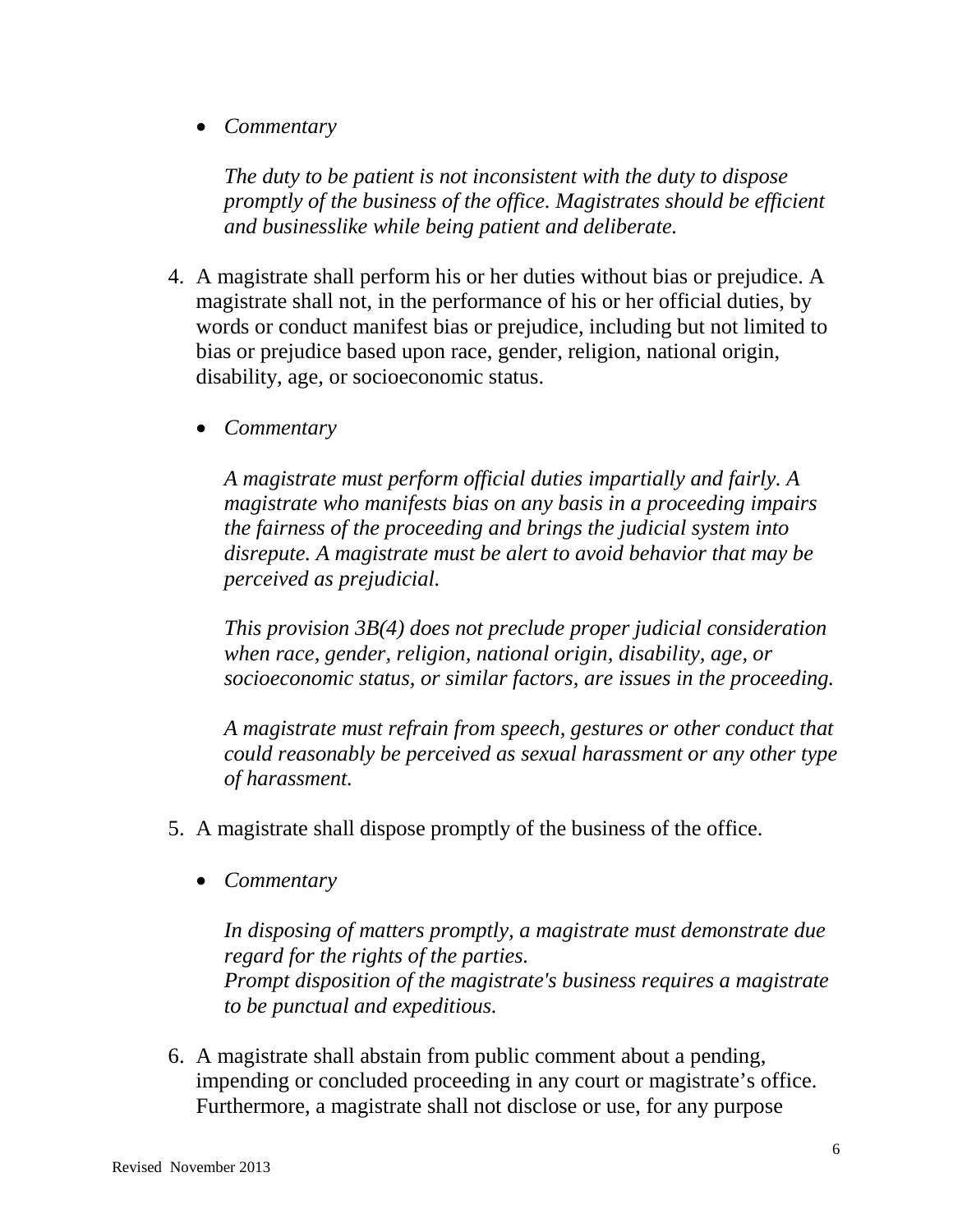• *Commentary* 

*The duty to be patient is not inconsistent with the duty to dispose promptly of the business of the office. Magistrates should be efficient and businesslike while being patient and deliberate.* 

- 4. A magistrate shall perform his or her duties without bias or prejudice. A magistrate shall not, in the performance of his or her official duties, by words or conduct manifest bias or prejudice, including but not limited to bias or prejudice based upon race, gender, religion, national origin, disability, age, or socioeconomic status.
	- *Commentary*

*A magistrate must perform official duties impartially and fairly. A magistrate who manifests bias on any basis in a proceeding impairs the fairness of the proceeding and brings the judicial system into disrepute. A magistrate must be alert to avoid behavior that may be perceived as prejudicial.*

*This provision 3B(4) does not preclude proper judicial consideration when race, gender, religion, national origin, disability, age, or socioeconomic status, or similar factors, are issues in the proceeding.* 

*A magistrate must refrain from speech, gestures or other conduct that could reasonably be perceived as sexual harassment or any other type of harassment.* 

- 5. A magistrate shall dispose promptly of the business of the office.
	- *Commentary*

*In disposing of matters promptly, a magistrate must demonstrate due regard for the rights of the parties. Prompt disposition of the magistrate's business requires a magistrate to be punctual and expeditious.* 

6. A magistrate shall abstain from public comment about a pending, impending or concluded proceeding in any court or magistrate's office. Furthermore, a magistrate shall not disclose or use, for any purpose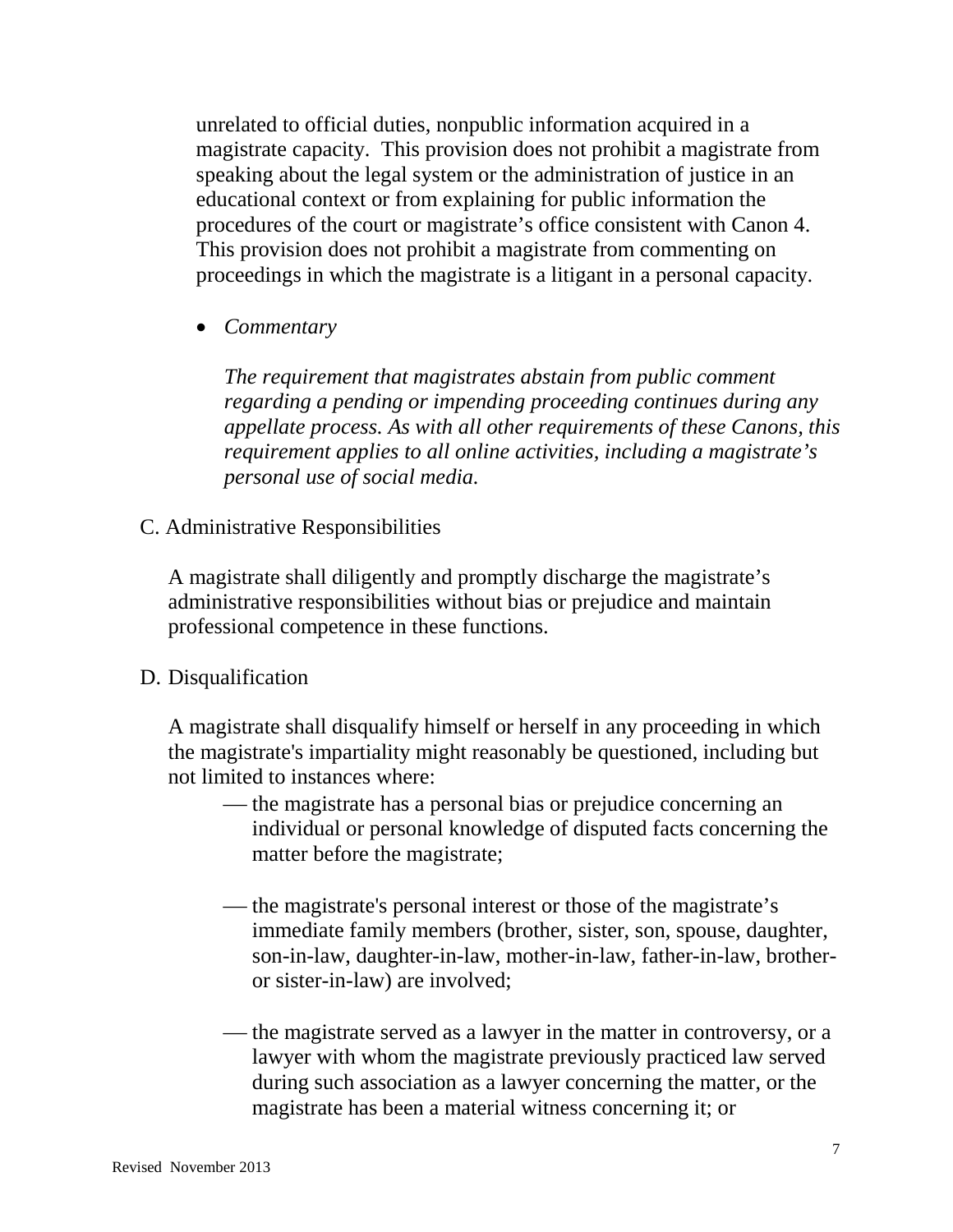unrelated to official duties, nonpublic information acquired in a magistrate capacity. This provision does not prohibit a magistrate from speaking about the legal system or the administration of justice in an educational context or from explaining for public information the procedures of the court or magistrate's office consistent with Canon 4. This provision does not prohibit a magistrate from commenting on proceedings in which the magistrate is a litigant in a personal capacity.

• *Commentary* 

*The requirement that magistrates abstain from public comment regarding a pending or impending proceeding continues during any appellate process. As with all other requirements of these Canons, this requirement applies to all online activities, including a magistrate's personal use of social media.* 

C. Administrative Responsibilities

A magistrate shall diligently and promptly discharge the magistrate's administrative responsibilities without bias or prejudice and maintain professional competence in these functions.

#### D. Disqualification

A magistrate shall disqualify himself or herself in any proceeding in which the magistrate's impartiality might reasonably be questioned, including but not limited to instances where:

- the magistrate has a personal bias or prejudice concerning an individual or personal knowledge of disputed facts concerning the matter before the magistrate;
- the magistrate's personal interest or those of the magistrate's immediate family members (brother, sister, son, spouse, daughter, son-in-law, daughter-in-law, mother-in-law, father-in-law, brotheror sister-in-law) are involved;
- the magistrate served as a lawyer in the matter in controversy, or a lawyer with whom the magistrate previously practiced law served during such association as a lawyer concerning the matter, or the magistrate has been a material witness concerning it; or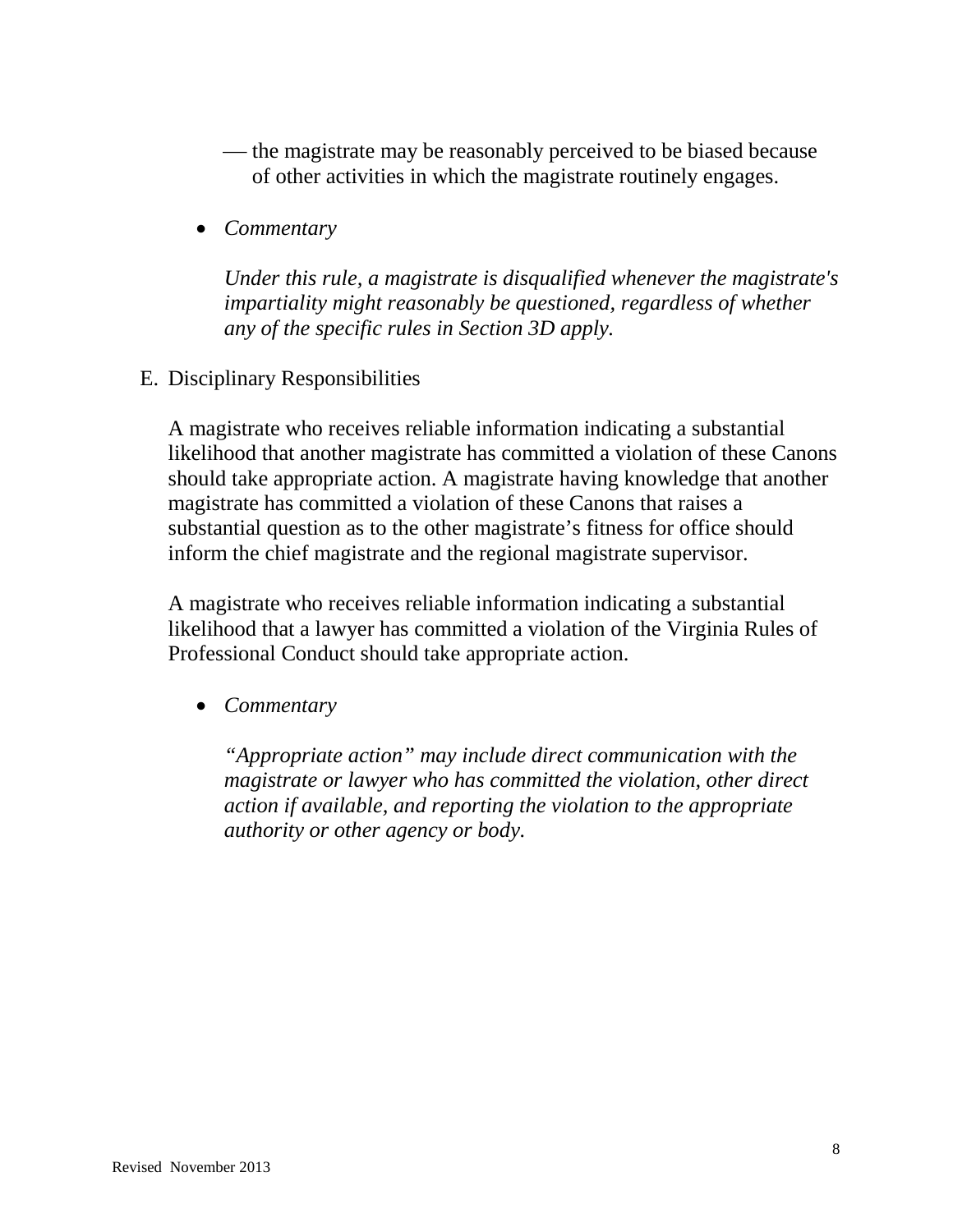- the magistrate may be reasonably perceived to be biased because of other activities in which the magistrate routinely engages.
- *Commentary*

*Under this rule, a magistrate is disqualified whenever the magistrate's impartiality might reasonably be questioned, regardless of whether any of the specific rules in Section 3D apply.* 

E. Disciplinary Responsibilities

A magistrate who receives reliable information indicating a substantial likelihood that another magistrate has committed a violation of these Canons should take appropriate action. A magistrate having knowledge that another magistrate has committed a violation of these Canons that raises a substantial question as to the other magistrate's fitness for office should inform the chief magistrate and the regional magistrate supervisor.

A magistrate who receives reliable information indicating a substantial likelihood that a lawyer has committed a violation of the Virginia Rules of Professional Conduct should take appropriate action.

• *Commentary* 

*"Appropriate action" may include direct communication with the magistrate or lawyer who has committed the violation, other direct action if available, and reporting the violation to the appropriate authority or other agency or body.*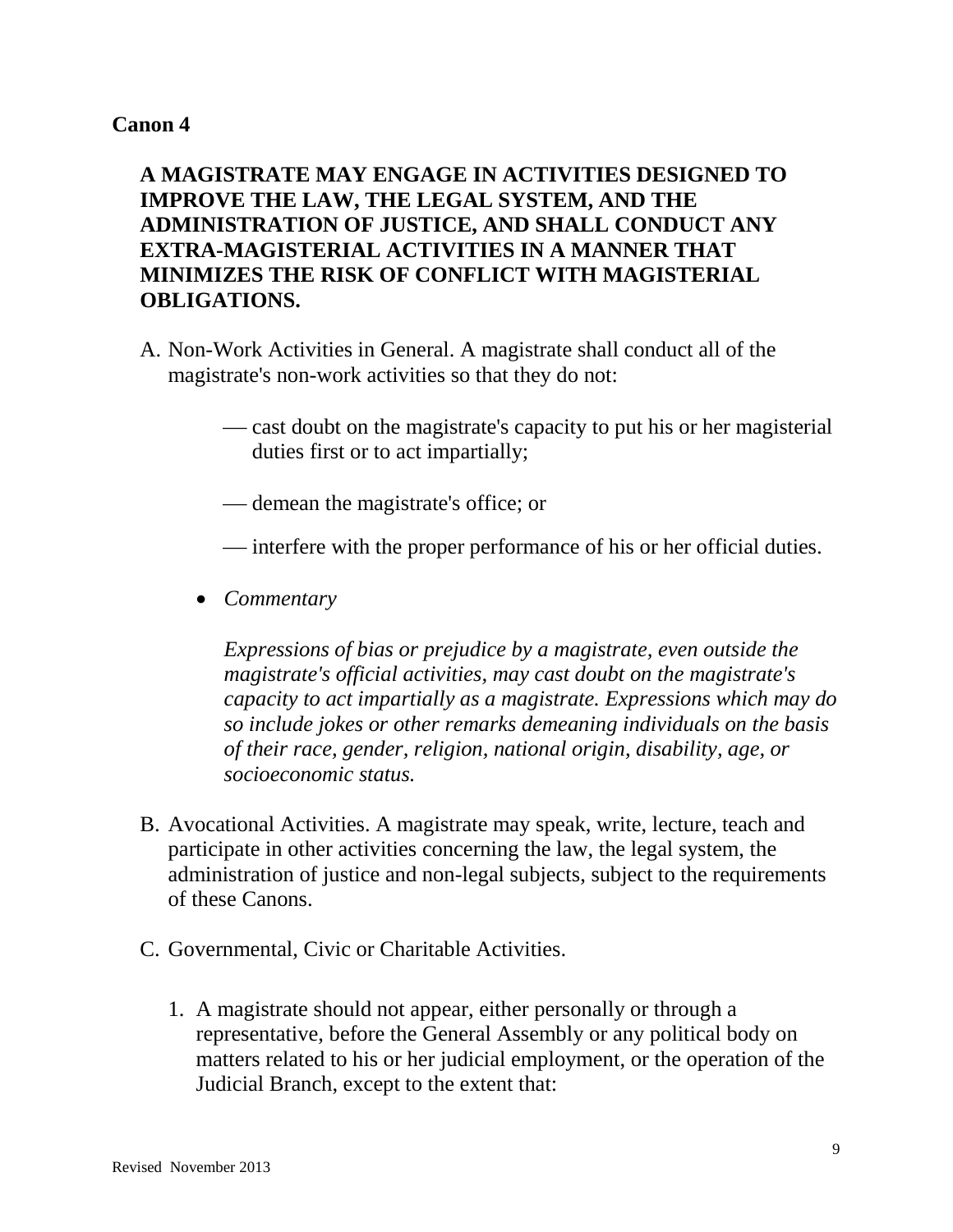## **A MAGISTRATE MAY ENGAGE IN ACTIVITIES DESIGNED TO IMPROVE THE LAW, THE LEGAL SYSTEM, AND THE ADMINISTRATION OF JUSTICE, AND SHALL CONDUCT ANY EXTRA-MAGISTERIAL ACTIVITIES IN A MANNER THAT MINIMIZES THE RISK OF CONFLICT WITH MAGISTERIAL OBLIGATIONS.**

- A. Non-Work Activities in General. A magistrate shall conduct all of the magistrate's non-work activities so that they do not:
	- cast doubt on the magistrate's capacity to put his or her magisterial duties first or to act impartially;
	- demean the magistrate's office; or
	- $\frac{1}{\sqrt{1-\frac{v^2}{c^2}}}$  interfere with the proper performance of his or her official duties.
	- *Commentary*

*Expressions of bias or prejudice by a magistrate, even outside the magistrate's official activities, may cast doubt on the magistrate's capacity to act impartially as a magistrate. Expressions which may do so include jokes or other remarks demeaning individuals on the basis of their race, gender, religion, national origin, disability, age, or socioeconomic status.* 

- B. Avocational Activities. A magistrate may speak, write, lecture, teach and participate in other activities concerning the law, the legal system, the administration of justice and non-legal subjects, subject to the requirements of these Canons.
- C. Governmental, Civic or Charitable Activities.
	- 1. A magistrate should not appear, either personally or through a representative, before the General Assembly or any political body on matters related to his or her judicial employment, or the operation of the Judicial Branch, except to the extent that: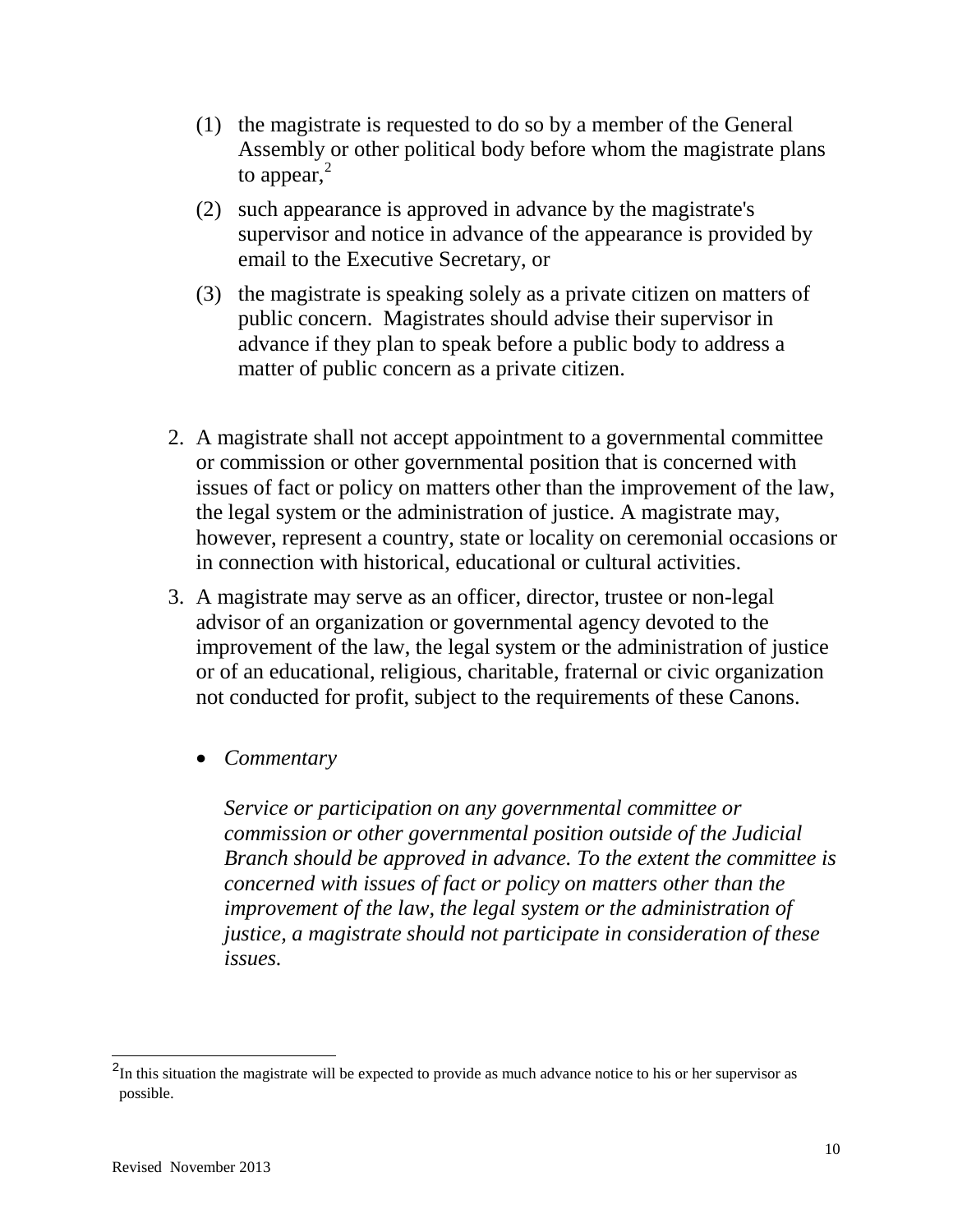- (1) the magistrate is requested to do so by a member of the General Assembly or other political body before whom the magistrate plans to appear, $<sup>2</sup>$  $<sup>2</sup>$  $<sup>2</sup>$ </sup>
- (2) such appearance is approved in advance by the magistrate's supervisor and notice in advance of the appearance is provided by email to the Executive Secretary, or
- (3) the magistrate is speaking solely as a private citizen on matters of public concern. Magistrates should advise their supervisor in advance if they plan to speak before a public body to address a matter of public concern as a private citizen.
- 2. A magistrate shall not accept appointment to a governmental committee or commission or other governmental position that is concerned with issues of fact or policy on matters other than the improvement of the law, the legal system or the administration of justice. A magistrate may, however, represent a country, state or locality on ceremonial occasions or in connection with historical, educational or cultural activities.
- 3. A magistrate may serve as an officer, director, trustee or non-legal advisor of an organization or governmental agency devoted to the improvement of the law, the legal system or the administration of justice or of an educational, religious, charitable, fraternal or civic organization not conducted for profit, subject to the requirements of these Canons.
	- *Commentary*

*Service or participation on any governmental committee or commission or other governmental position outside of the Judicial Branch should be approved in advance. To the extent the committee is concerned with issues of fact or policy on matters other than the improvement of the law, the legal system or the administration of justice, a magistrate should not participate in consideration of these issues.* 

 $\overline{a}$ 

<span id="page-9-0"></span> $2<sup>2</sup>$ In this situation the magistrate will be expected to provide as much advance notice to his or her supervisor as possible.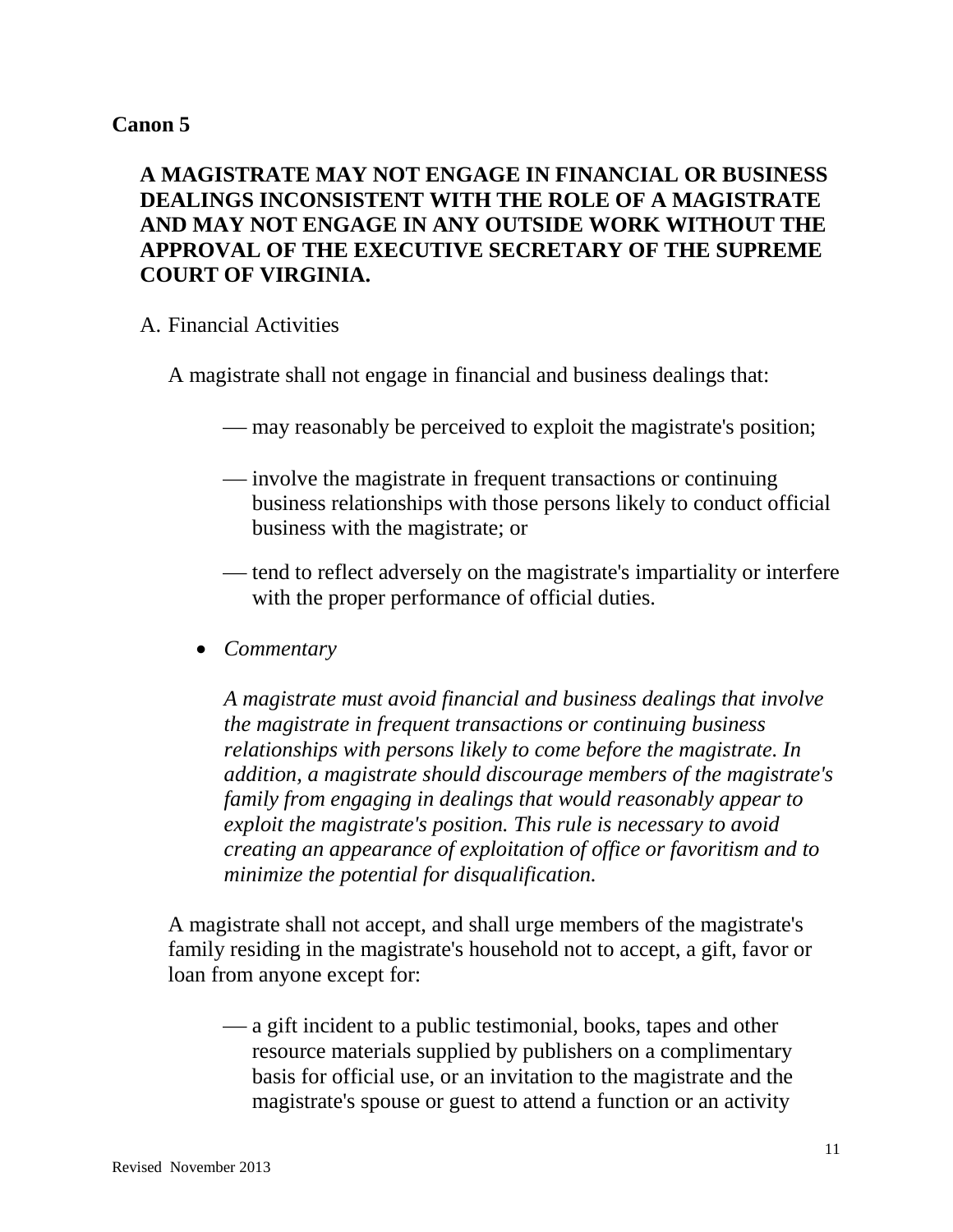# **A MAGISTRATE MAY NOT ENGAGE IN FINANCIAL OR BUSINESS DEALINGS INCONSISTENT WITH THE ROLE OF A MAGISTRATE AND MAY NOT ENGAGE IN ANY OUTSIDE WORK WITHOUT THE APPROVAL OF THE EXECUTIVE SECRETARY OF THE SUPREME COURT OF VIRGINIA.**

### A. Financial Activities

A magistrate shall not engage in financial and business dealings that:

- may reasonably be perceived to exploit the magistrate's position;
- involve the magistrate in frequent transactions or continuing business relationships with those persons likely to conduct official business with the magistrate; or
- tend to reflect adversely on the magistrate's impartiality or interfere with the proper performance of official duties.
- *Commentary*

*A magistrate must avoid financial and business dealings that involve the magistrate in frequent transactions or continuing business relationships with persons likely to come before the magistrate. In addition, a magistrate should discourage members of the magistrate's family from engaging in dealings that would reasonably appear to exploit the magistrate's position. This rule is necessary to avoid creating an appearance of exploitation of office or favoritism and to minimize the potential for disqualification.* 

A magistrate shall not accept, and shall urge members of the magistrate's family residing in the magistrate's household not to accept, a gift, favor or loan from anyone except for:

 a gift incident to a public testimonial, books, tapes and other resource materials supplied by publishers on a complimentary basis for official use, or an invitation to the magistrate and the magistrate's spouse or guest to attend a function or an activity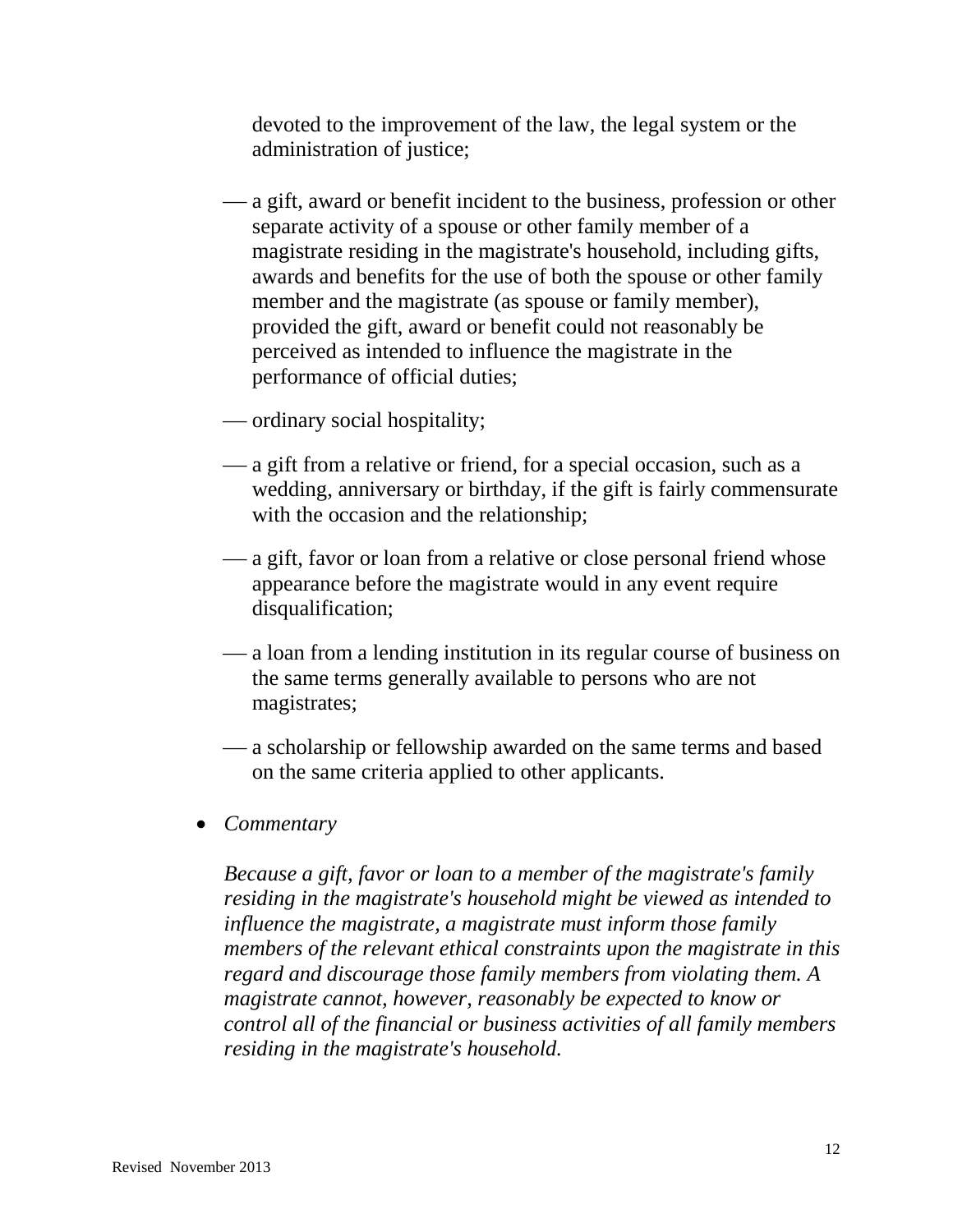devoted to the improvement of the law, the legal system or the administration of justice;

- a gift, award or benefit incident to the business, profession or other separate activity of a spouse or other family member of a magistrate residing in the magistrate's household, including gifts, awards and benefits for the use of both the spouse or other family member and the magistrate (as spouse or family member), provided the gift, award or benefit could not reasonably be perceived as intended to influence the magistrate in the performance of official duties;
- ordinary social hospitality;
- a gift from a relative or friend, for a special occasion, such as a wedding, anniversary or birthday, if the gift is fairly commensurate with the occasion and the relationship;
- a gift, favor or loan from a relative or close personal friend whose appearance before the magistrate would in any event require disqualification;
- a loan from a lending institution in its regular course of business on the same terms generally available to persons who are not magistrates;
- a scholarship or fellowship awarded on the same terms and based on the same criteria applied to other applicants.
- *Commentary*

*Because a gift, favor or loan to a member of the magistrate's family residing in the magistrate's household might be viewed as intended to influence the magistrate, a magistrate must inform those family members of the relevant ethical constraints upon the magistrate in this regard and discourage those family members from violating them. A magistrate cannot, however, reasonably be expected to know or control all of the financial or business activities of all family members residing in the magistrate's household.*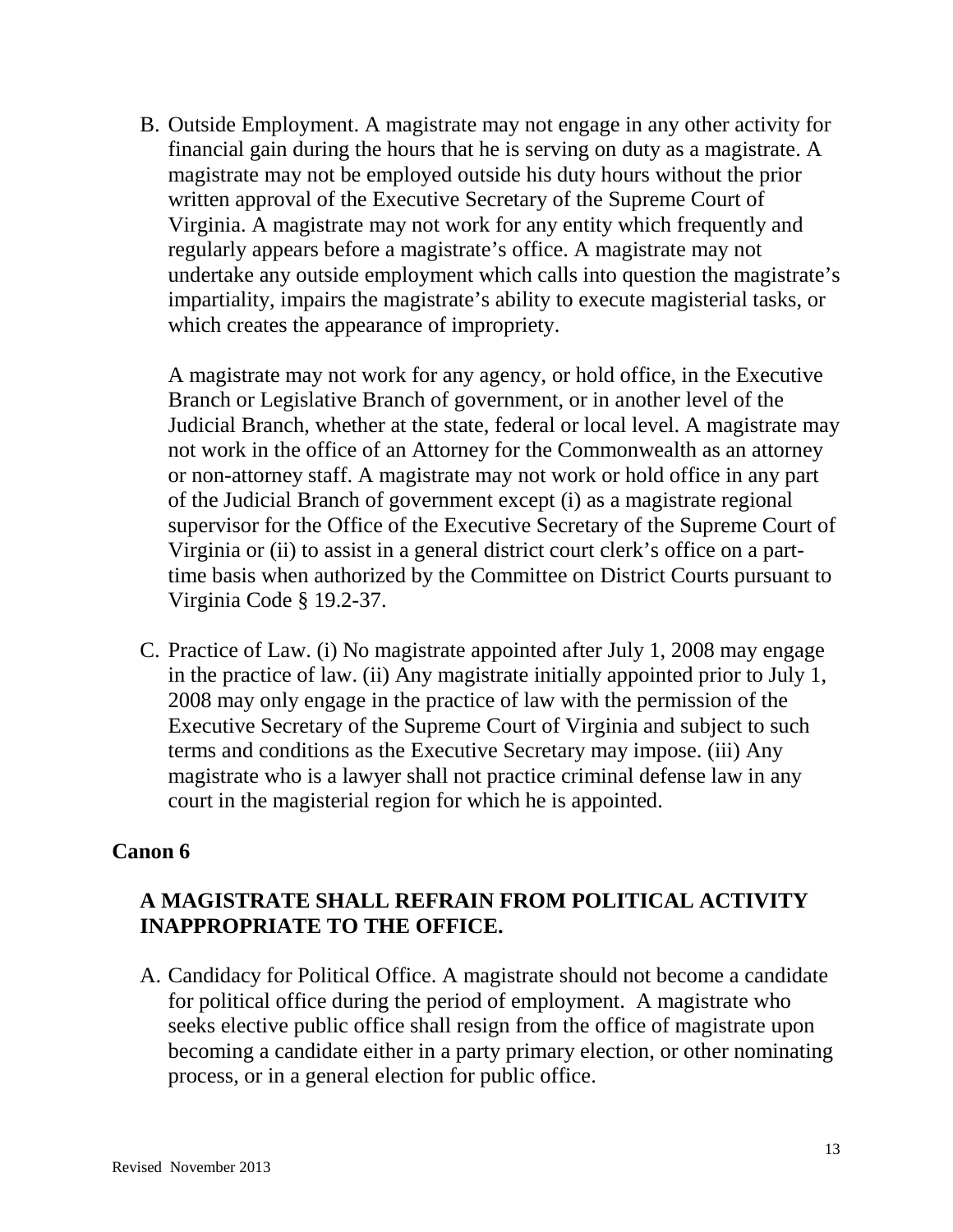B. Outside Employment. A magistrate may not engage in any other activity for financial gain during the hours that he is serving on duty as a magistrate. A magistrate may not be employed outside his duty hours without the prior written approval of the Executive Secretary of the Supreme Court of Virginia. A magistrate may not work for any entity which frequently and regularly appears before a magistrate's office. A magistrate may not undertake any outside employment which calls into question the magistrate's impartiality, impairs the magistrate's ability to execute magisterial tasks, or which creates the appearance of impropriety.

A magistrate may not work for any agency, or hold office, in the Executive Branch or Legislative Branch of government, or in another level of the Judicial Branch, whether at the state, federal or local level. A magistrate may not work in the office of an Attorney for the Commonwealth as an attorney or non-attorney staff. A magistrate may not work or hold office in any part of the Judicial Branch of government except (i) as a magistrate regional supervisor for the Office of the Executive Secretary of the Supreme Court of Virginia or (ii) to assist in a general district court clerk's office on a parttime basis when authorized by the Committee on District Courts pursuant to Virginia Code § 19.2-37.

C. Practice of Law. (i) No magistrate appointed after July 1, 2008 may engage in the practice of law. (ii) Any magistrate initially appointed prior to July 1, 2008 may only engage in the practice of law with the permission of the Executive Secretary of the Supreme Court of Virginia and subject to such terms and conditions as the Executive Secretary may impose. (iii) Any magistrate who is a lawyer shall not practice criminal defense law in any court in the magisterial region for which he is appointed.

## **Canon 6**

## **A MAGISTRATE SHALL REFRAIN FROM POLITICAL ACTIVITY INAPPROPRIATE TO THE OFFICE.**

A. Candidacy for Political Office. A magistrate should not become a candidate for political office during the period of employment. A magistrate who seeks elective public office shall resign from the office of magistrate upon becoming a candidate either in a party primary election, or other nominating process, or in a general election for public office.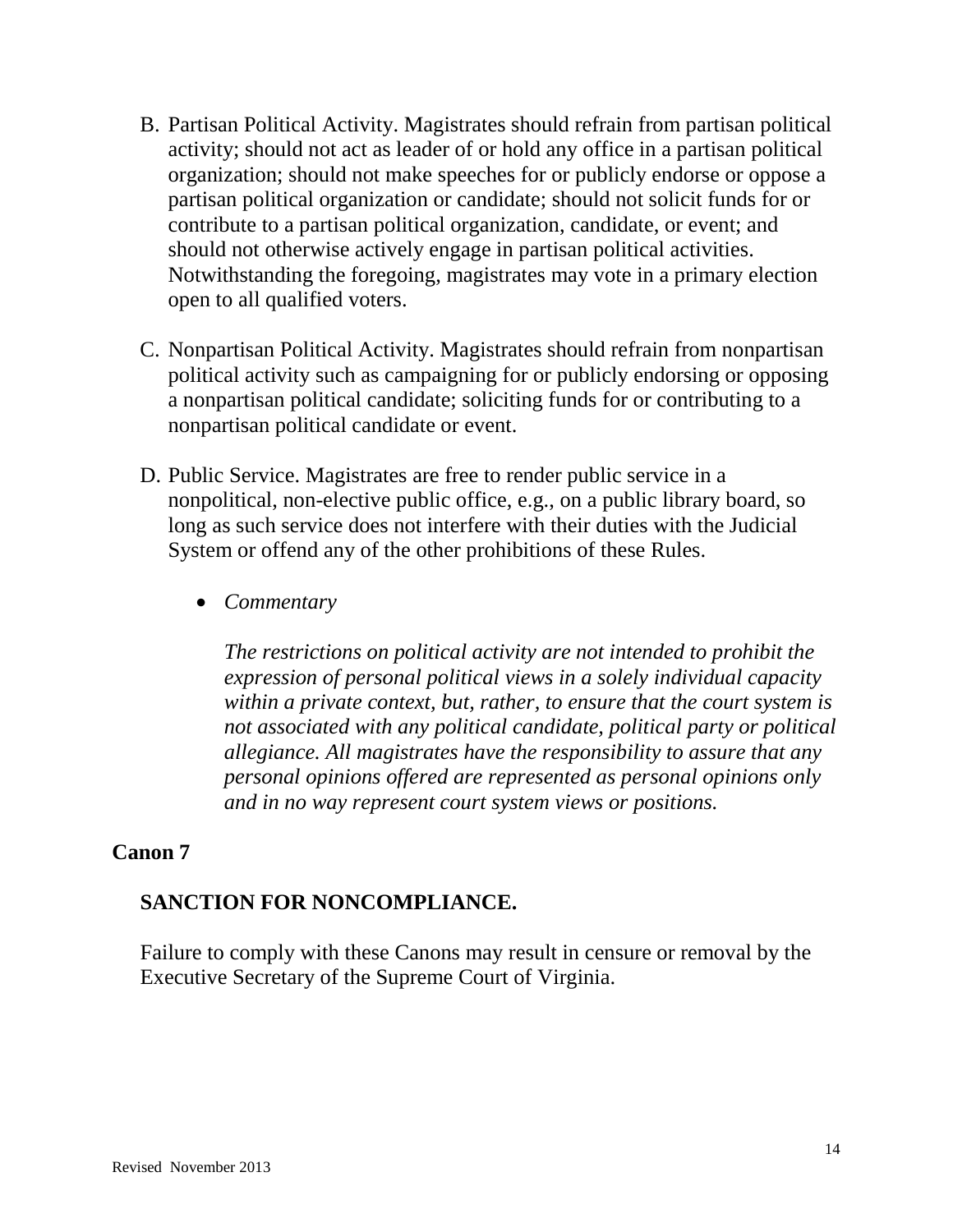- B. Partisan Political Activity. Magistrates should refrain from partisan political activity; should not act as leader of or hold any office in a partisan political organization; should not make speeches for or publicly endorse or oppose a partisan political organization or candidate; should not solicit funds for or contribute to a partisan political organization, candidate, or event; and should not otherwise actively engage in partisan political activities. Notwithstanding the foregoing, magistrates may vote in a primary election open to all qualified voters.
- C. Nonpartisan Political Activity. Magistrates should refrain from nonpartisan political activity such as campaigning for or publicly endorsing or opposing a nonpartisan political candidate; soliciting funds for or contributing to a nonpartisan political candidate or event.
- D. Public Service. Magistrates are free to render public service in a nonpolitical, non-elective public office, e.g., on a public library board, so long as such service does not interfere with their duties with the Judicial System or offend any of the other prohibitions of these Rules.
	- *Commentary*

*The restrictions on political activity are not intended to prohibit the expression of personal political views in a solely individual capacity within a private context, but, rather, to ensure that the court system is not associated with any political candidate, political party or political allegiance. All magistrates have the responsibility to assure that any personal opinions offered are represented as personal opinions only and in no way represent court system views or positions.* 

## **Canon 7**

## **SANCTION FOR NONCOMPLIANCE.**

Failure to comply with these Canons may result in censure or removal by the Executive Secretary of the Supreme Court of Virginia.